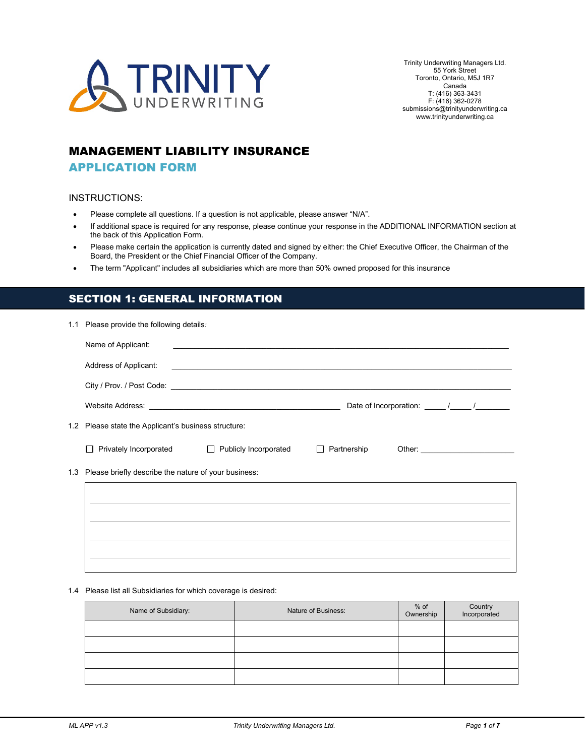

Trinity Underwriting Managers Ltd. 55 York Street Toronto, Ontario, M5J 1R7 Canada T: (416) 363-3431 F: (416) 362-0278 submissions@trinityunderwriting.ca www.trinityunderwriting.ca

# MANAGEMENT LIABILITY INSURANCE

### APPLICATION FORM

#### INSTRUCTIONS:

- Please complete all questions. If a question is not applicable, please answer "N/A".
- If additional space is required for any response, please continue your response in the ADDITIONAL INFORMATION section at the back of this Application Form.
- Please make certain the application is currently dated and signed by either: the Chief Executive Officer, the Chairman of the Board, the President or the Chief Financial Officer of the Company.
- The term "Applicant" includes all subsidiaries which are more than 50% owned proposed for this insurance

## SECTION 1: GENERAL INFORMATION

| 1.1 Please provide the following details:                |                                                |                          |  |  |
|----------------------------------------------------------|------------------------------------------------|--------------------------|--|--|
| Name of Applicant:                                       |                                                |                          |  |  |
| Address of Applicant:                                    |                                                |                          |  |  |
|                                                          |                                                |                          |  |  |
|                                                          |                                                |                          |  |  |
| 1.2 Please state the Applicant's business structure:     |                                                |                          |  |  |
|                                                          | Privately Incorporated □ Publicly Incorporated | Partnership Other:<br>П. |  |  |
| 1.3 Please briefly describe the nature of your business: |                                                |                          |  |  |
|                                                          |                                                |                          |  |  |
|                                                          |                                                |                          |  |  |
|                                                          |                                                |                          |  |  |
|                                                          |                                                |                          |  |  |
|                                                          |                                                |                          |  |  |

1.4 Please list all Subsidiaries for which coverage is desired:

| Name of Subsidiary: | Nature of Business: | % of<br>Ownership | Country<br>Incorporated |
|---------------------|---------------------|-------------------|-------------------------|
|                     |                     |                   |                         |
|                     |                     |                   |                         |
|                     |                     |                   |                         |
|                     |                     |                   |                         |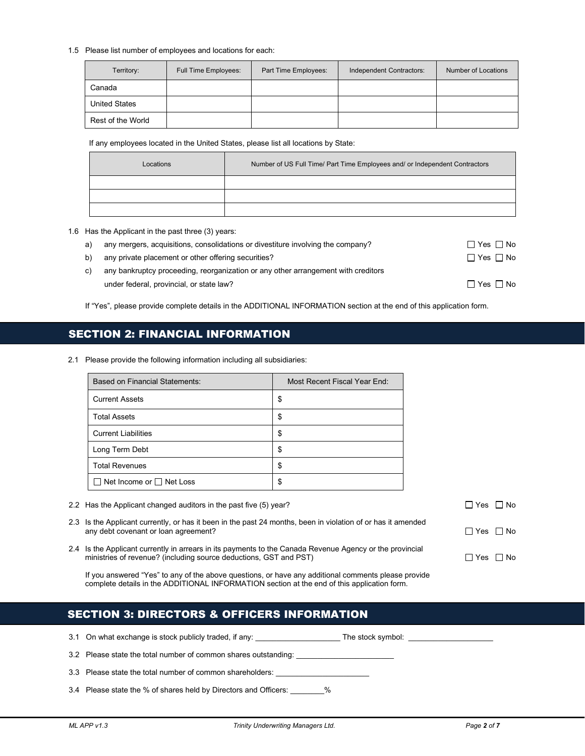#### 1.5 Please list number of employees and locations for each:

| Territory:           | Full Time Employees: | Part Time Employees: | Independent Contractors: | Number of Locations |
|----------------------|----------------------|----------------------|--------------------------|---------------------|
| Canada               |                      |                      |                          |                     |
| <b>United States</b> |                      |                      |                          |                     |
| Rest of the World    |                      |                      |                          |                     |

If any employees located in the United States, please list all locations by State:

| Locations | Number of US Full Time/ Part Time Employees and/ or Independent Contractors |
|-----------|-----------------------------------------------------------------------------|
|           |                                                                             |
|           |                                                                             |
|           |                                                                             |

1.6 Has the Applicant in the past three (3) years:

| a) | any mergers, acquisitions, consolidations or divestiture involving the company?   | $\Box$ Yes $\Box$ No |
|----|-----------------------------------------------------------------------------------|----------------------|
| b) | any private placement or other offering securities?                               | $\Box$ Yes $\Box$ No |
| C) | any bankruptcy proceeding, reorganization or any other arrangement with creditors |                      |
|    | under federal, provincial, or state law?                                          | □ Yes □ No           |

If "Yes", please provide complete details in the ADDITIONAL INFORMATION section at the end of this application form.

# SECTION 2: FINANCIAL INFORMATION

2.1 Please provide the following information including all subsidiaries:

| <b>Based on Financial Statements:</b> | Most Recent Fiscal Year End: |  |
|---------------------------------------|------------------------------|--|
| <b>Current Assets</b>                 | \$                           |  |
| <b>Total Assets</b>                   | S                            |  |
| <b>Current Liabilities</b>            | \$                           |  |
| Long Term Debt                        | \$                           |  |
| <b>Total Revenues</b>                 | \$                           |  |
| $\Box$ Net Income or $\Box$ Net Loss  | S                            |  |

- 2.2 Has the Applicant changed auditors in the past five (5) year?  $\Box$  Yes  $\Box$  Yes  $\Box$  No
- 2.3 Is the Applicant currently, or has it been in the past 24 months, been in violation of or has it amended any debt covenant or loan agreement?  $\square$  Yes  $\square$  No
- 2.4 Is the Applicant currently in arrears in its payments to the Canada Revenue Agency or the provincial ministries of revenue? (including source deductions, GST and PST)  $\Box$  Yes  $\Box$  No

If you answered "Yes" to any of the above questions, or have any additional comments please provide complete details in the ADDITIONAL INFORMATION section at the end of this application form.

| <b>SECTION 3: DIRECTORS &amp; OFFICERS INFORMATION</b> |
|--------------------------------------------------------|
|--------------------------------------------------------|

| 3.1 On what exchange is stock publicly traded, if any:<br>The stock symbol: The stock symbol: |
|-----------------------------------------------------------------------------------------------|
| 3.2 Please state the total number of common shares outstanding:                               |
| 3.3 Please state the total number of common shareholders:                                     |
| 3.4 Please state the % of shares held by Directors and Officers:<br>$\%$                      |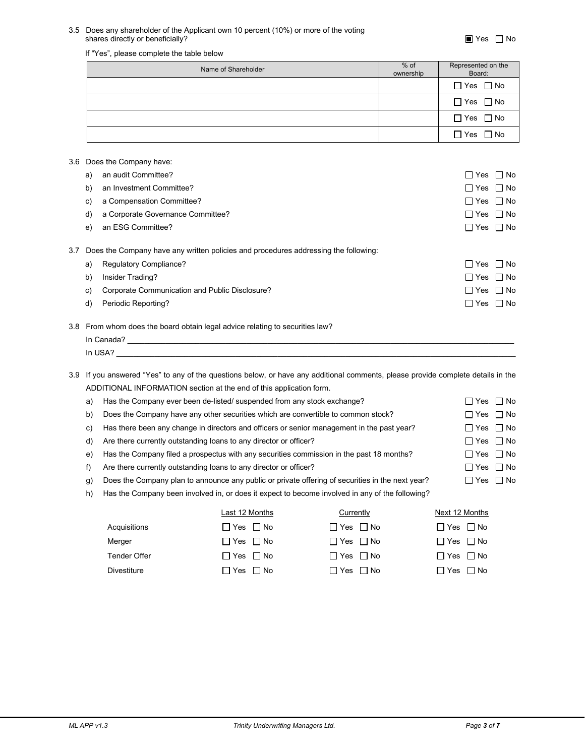#### 3.5 Does any shareholder of the Applicant own 10 percent (10%) or more of the voting shares directly or beneficially?  $\blacksquare$  Yes  $\square$  No

#### If "Yes", please complete the table below

| Name of Shareholder | $%$ of<br>ownership | Represented on the<br>Board: |
|---------------------|---------------------|------------------------------|
|                     |                     | $\Box$ Yes $\Box$ No         |
|                     |                     | $\Box$ Yes $\Box$ No         |
|                     |                     | $\Box$ Yes $\Box$ No         |
|                     |                     | $\Box$ Yes $\Box$ No         |

#### 3.6 Does the Company have:

|     | a) | an audit Committee?                                                                 | $\Box$ Yes $\Box$ No |           |
|-----|----|-------------------------------------------------------------------------------------|----------------------|-----------|
|     | b) | an Investment Committee?                                                            | $\Box$ Yes $\Box$ No |           |
|     | C) | a Compensation Committee?                                                           | $\Box$ Yes $\Box$ No |           |
|     | d) | a Corporate Governance Committee?                                                   | $\Box$ Yes $\Box$ No |           |
|     | e) | an ESG Committee?                                                                   | $\Box$ Yes $\Box$ No |           |
| 3.7 |    | Does the Company have any written policies and procedures addressing the following: |                      |           |
|     | a) | <b>Regulatory Compliance?</b>                                                       | $\Box$ Yes $\Box$ No |           |
|     | b) | Insider Trading?                                                                    | $\Box$ Yes $\Box$ No |           |
|     | C) | Corporate Communication and Public Disclosure?                                      | $\Box$ Yes $\Box$ No |           |
|     | d) | Periodic Reporting?                                                                 | ∏ Yes                | $\Box$ No |
|     |    |                                                                                     |                      |           |

#### 3.8 From whom does the board obtain legal advice relating to securities law?

| In Canada? |  |  |
|------------|--|--|
| In USA?    |  |  |

3.9 If you answered "Yes" to any of the questions below, or have any additional comments, please provide complete details in the ADDITIONAL INFORMATION section at the end of this application form.

| a) | Has the Company ever been de-listed/ suspended from any stock exchange?                          | $\Box$ Yes $\Box$ No |  |
|----|--------------------------------------------------------------------------------------------------|----------------------|--|
| b) | Does the Company have any other securities which are convertible to common stock?                | $\Box$ Yes $\Box$ No |  |
| c) | Has there been any change in directors and officers or senior management in the past year?       | $\Box$ Yes $\Box$ No |  |
|    | d) Are there currently outstanding loans to any director or officer?                             | $\Box$ Yes $\Box$ No |  |
| e) | Has the Company filed a prospectus with any securities commission in the past 18 months?         | $\Box$ Yes $\Box$ No |  |
| f) | Are there currently outstanding loans to any director or officer?                                | $\Box$ Yes $\Box$ No |  |
| q) | Does the Company plan to announce any public or private offering of securities in the next year? | $\Box$ Yes $\Box$ No |  |
|    |                                                                                                  |                      |  |

|  | h) Has the Company been involved in, or does it expect to become involved in any of the following? |  |
|--|----------------------------------------------------------------------------------------------------|--|
|  |                                                                                                    |  |
|  |                                                                                                    |  |
|  |                                                                                                    |  |

|              | Last 12 Months       | Currently            | Next 12 Months       |
|--------------|----------------------|----------------------|----------------------|
| Acquisitions | □ Yes □ No           | $\Box$ Yes $\Box$ No | $\Box$ Yes $\Box$ No |
| Merger       | $\Box$ Yes $\Box$ No | $\Box$ Yes $\Box$ No | $\Box$ Yes $\Box$ No |
| Tender Offer | ∩Yes ∩No             | $\Box$ Yes $\Box$ No | $\Box$ Yes $\Box$ No |
| Divestiture  | ∏Yes ∏No             | □ Yes □ No           | $\Box$ Yes $\Box$ No |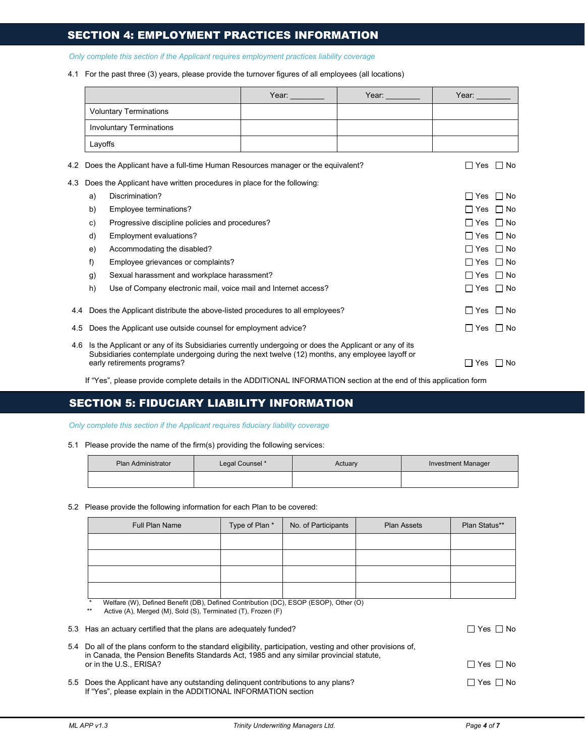## SECTION 4: EMPLOYMENT PRACTICES INFORMATION

*Only complete this section if the Applicant requires employment practices liability coverage*

4.1 For the past three (3) years, please provide the turnover figures of all employees (all locations)

|    |                                    | Year:                                                                                                      | Year:                                                                                                                                                                                                                                                                                                        | Year:                                                                                                                                                                                                                                                                                                                                                                                                                                                                                                                                                                                                                                                                                                                        |
|----|------------------------------------|------------------------------------------------------------------------------------------------------------|--------------------------------------------------------------------------------------------------------------------------------------------------------------------------------------------------------------------------------------------------------------------------------------------------------------|------------------------------------------------------------------------------------------------------------------------------------------------------------------------------------------------------------------------------------------------------------------------------------------------------------------------------------------------------------------------------------------------------------------------------------------------------------------------------------------------------------------------------------------------------------------------------------------------------------------------------------------------------------------------------------------------------------------------------|
|    |                                    |                                                                                                            |                                                                                                                                                                                                                                                                                                              |                                                                                                                                                                                                                                                                                                                                                                                                                                                                                                                                                                                                                                                                                                                              |
|    |                                    |                                                                                                            |                                                                                                                                                                                                                                                                                                              |                                                                                                                                                                                                                                                                                                                                                                                                                                                                                                                                                                                                                                                                                                                              |
|    |                                    |                                                                                                            |                                                                                                                                                                                                                                                                                                              |                                                                                                                                                                                                                                                                                                                                                                                                                                                                                                                                                                                                                                                                                                                              |
|    |                                    |                                                                                                            |                                                                                                                                                                                                                                                                                                              | $\Box$ No<br>$\Box$ Yes                                                                                                                                                                                                                                                                                                                                                                                                                                                                                                                                                                                                                                                                                                      |
|    |                                    |                                                                                                            |                                                                                                                                                                                                                                                                                                              |                                                                                                                                                                                                                                                                                                                                                                                                                                                                                                                                                                                                                                                                                                                              |
| a) | Discrimination?                    |                                                                                                            |                                                                                                                                                                                                                                                                                                              | $\Box$ No<br>$\Box$ Yes                                                                                                                                                                                                                                                                                                                                                                                                                                                                                                                                                                                                                                                                                                      |
| b) | Employee terminations?             |                                                                                                            |                                                                                                                                                                                                                                                                                                              | $\Box$ No<br>∏ Yes                                                                                                                                                                                                                                                                                                                                                                                                                                                                                                                                                                                                                                                                                                           |
| c) |                                    |                                                                                                            |                                                                                                                                                                                                                                                                                                              | $\Box$ No<br>∏ Yes                                                                                                                                                                                                                                                                                                                                                                                                                                                                                                                                                                                                                                                                                                           |
| d) | Employment evaluations?            |                                                                                                            |                                                                                                                                                                                                                                                                                                              | $\Box$ No<br>$\Box$ Yes                                                                                                                                                                                                                                                                                                                                                                                                                                                                                                                                                                                                                                                                                                      |
| e) | Accommodating the disabled?        |                                                                                                            |                                                                                                                                                                                                                                                                                                              | $\Box$ Yes<br>$\Box$ No                                                                                                                                                                                                                                                                                                                                                                                                                                                                                                                                                                                                                                                                                                      |
| f) | Employee grievances or complaints? |                                                                                                            |                                                                                                                                                                                                                                                                                                              | $\Box$ No<br>∏ Yes                                                                                                                                                                                                                                                                                                                                                                                                                                                                                                                                                                                                                                                                                                           |
| g) |                                    |                                                                                                            |                                                                                                                                                                                                                                                                                                              | $\Box$ No<br>$\Box$ Yes                                                                                                                                                                                                                                                                                                                                                                                                                                                                                                                                                                                                                                                                                                      |
| h) |                                    |                                                                                                            |                                                                                                                                                                                                                                                                                                              | ∏ Yes<br>$\Box$ No                                                                                                                                                                                                                                                                                                                                                                                                                                                                                                                                                                                                                                                                                                           |
|    |                                    |                                                                                                            |                                                                                                                                                                                                                                                                                                              | $\Box$ Yes $\Box$ No                                                                                                                                                                                                                                                                                                                                                                                                                                                                                                                                                                                                                                                                                                         |
|    |                                    |                                                                                                            |                                                                                                                                                                                                                                                                                                              | $\Box$ Yes<br>$\Box$ No                                                                                                                                                                                                                                                                                                                                                                                                                                                                                                                                                                                                                                                                                                      |
|    |                                    |                                                                                                            |                                                                                                                                                                                                                                                                                                              | l I Yes<br>l I No                                                                                                                                                                                                                                                                                                                                                                                                                                                                                                                                                                                                                                                                                                            |
|    | 4.4<br>4.6                         | <b>Voluntary Terminations</b><br><b>Involuntary Terminations</b><br>Layoffs<br>early retirements programs? | Does the Applicant have written procedures in place for the following:<br>Progressive discipline policies and procedures?<br>Sexual harassment and workplace harassment?<br>Use of Company electronic mail, voice mail and Internet access?<br>Does the Applicant use outside counsel for employment advice? | Does the Applicant have a full-time Human Resources manager or the equivalent?<br>Does the Applicant distribute the above-listed procedures to all employees?<br>Is the Applicant or any of its Subsidiaries currently undergoing or does the Applicant or any of its<br>Subsidiaries contemplate undergoing during the next twelve (12) months, any employee layoff or<br>$\mathbf{r}$ , $\mathbf{r}$ , $\mathbf{r}$ , $\mathbf{r}$ , $\mathbf{r}$ , $\mathbf{r}$ , $\mathbf{r}$ , $\mathbf{r}$ , $\mathbf{r}$ , $\mathbf{r}$ , $\mathbf{r}$ , $\mathbf{r}$ , $\mathbf{r}$ , $\mathbf{r}$ , $\mathbf{r}$ , $\mathbf{r}$ , $\mathbf{r}$ , $\mathbf{r}$ , $\mathbf{r}$ , $\mathbf{r}$ ,<br>$\sim$ $\sim$ $\sim$ $\sim$ $\sim$ |

If "Yes", please provide complete details in the ADDITIONAL INFORMATION section at the end of this application form

## SECTION 5: FIDUCIARY LIABILITY INFORMATION

*Only complete this section if the Applicant requires fiduciary liability coverage*

5.1 Please provide the name of the firm(s) providing the following services:

| <b>Plan Administrator</b> | Legal Counsel * | Actuary | <b>Investment Manager</b> |
|---------------------------|-----------------|---------|---------------------------|
|                           |                 |         |                           |

5.2 Please provide the following information for each Plan to be covered:

| <b>Full Plan Name</b>                                                                                                                                                                                   | Type of Plan * | No. of Participants  | <b>Plan Assets</b> | Plan Status**         |
|---------------------------------------------------------------------------------------------------------------------------------------------------------------------------------------------------------|----------------|----------------------|--------------------|-----------------------|
|                                                                                                                                                                                                         |                |                      |                    |                       |
|                                                                                                                                                                                                         |                |                      |                    |                       |
|                                                                                                                                                                                                         |                |                      |                    |                       |
|                                                                                                                                                                                                         |                |                      |                    |                       |
| $\star$<br>Welfare (W), Defined Benefit (DB), Defined Contribution (DC), ESOP (ESOP), Other (O)<br>$**$<br>Active (A), Merged (M), Sold (S), Terminated (T), Frozen (F)                                 |                |                      |                    |                       |
| 5.3 Has an actuary certified that the plans are adequately funded?                                                                                                                                      |                |                      |                    | $\Box$ Yes $\Box$ No  |
| 5.4 Do all of the plans conform to the standard eligibility, participation, vesting and other provisions of,<br>in Canada, the Pension Benefits Standards Act, 1985 and any similar provincial statute, |                |                      |                    |                       |
| or in the U.S., ERISA?                                                                                                                                                                                  |                | $\Box$ Yes $\Box$ No |                    |                       |
| 5.5 Does the Applicant have any outstanding delinguent contributions to any plans?                                                                                                                      |                |                      |                    | $\Box$ Yes $\Box$ No. |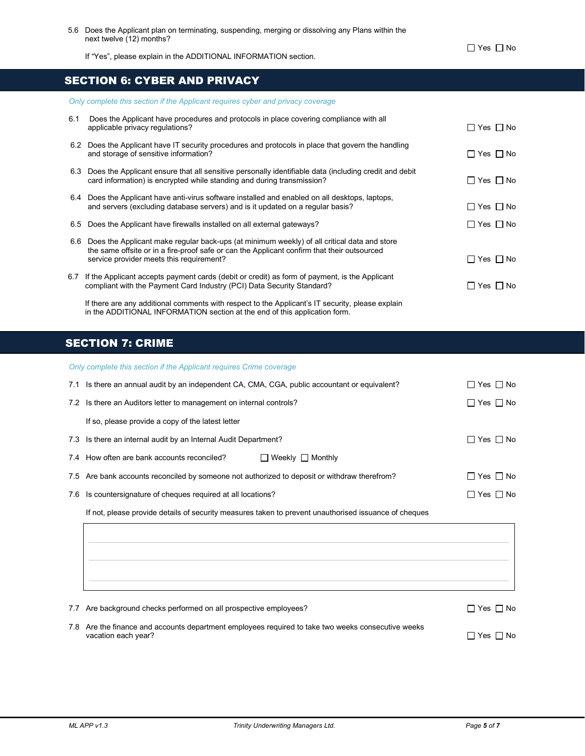$\Box$  Yes  $\Box$  No

If "Yes", please explain in the ADDITIONAL INFORMATION section.

## SECTION 6: CYBER AND PRIVACY

|     | Only complete this section if the Applicant requires cyber and privacy coverage                                                                                                                                                            |                            |
|-----|--------------------------------------------------------------------------------------------------------------------------------------------------------------------------------------------------------------------------------------------|----------------------------|
| 6.1 | Does the Applicant have procedures and protocols in place covering compliance with all<br>applicable privacy regulations?                                                                                                                  | $\Box$ Yes $\Box$ No       |
|     | 6.2 Does the Applicant have IT security procedures and protocols in place that govern the handling<br>and storage of sensitive information?                                                                                                | $\Box$ Yes $\Box$ No       |
|     | 6.3 Does the Applicant ensure that all sensitive personally identifiable data (including credit and debit<br>card information) is encrypted while standing and during transmission?                                                        | $\Box$ Yes $\Box$ No       |
|     | 6.4 Does the Applicant have anti-virus software installed and enabled on all desktops, laptops,<br>and servers (excluding database servers) and is it updated on a regular basis?                                                          | $\Box$ Yes $\Box$ No       |
|     | 6.5 Does the Applicant have firewalls installed on all external gateways?                                                                                                                                                                  | $\Box$ Yes $\Box$ No       |
|     | 6.6 Does the Applicant make regular back-ups (at minimum weekly) of all critical data and store<br>the same offsite or in a fire-proof safe or can the Applicant confirm that their outsourced<br>service provider meets this requirement? | $\square$ Yes $\square$ No |
|     | 6.7 If the Applicant accepts payment cards (debit or credit) as form of payment, is the Applicant<br>compliant with the Payment Card Industry (PCI) Data Security Standard?                                                                | $\Box$ Yes $\Box$ No       |
|     | If there are any additional comments with respect to the Applicant's IT security, please explain                                                                                                                                           |                            |

# SECTION 7: CRIME

*Only complete this section if the Applicant requires Crime coverage*

in the ADDITIONAL INFORMATION section at the end of this application form.

| 7.1 Is there an annual audit by an independent CA, CMA, CGA, public accountant or equivalent? | $\Box$ Yes $\Box$ No |
|-----------------------------------------------------------------------------------------------|----------------------|
| 7.2 Is there an Auditors letter to management on internal controls?                           | $\Box$ Yes $\Box$ No |
| If so, please provide a copy of the latest letter                                             |                      |
| 7.3 Is there an internal audit by an Internal Audit Department?                               | $\Box$ Yes $\Box$ No |
| $\Box$ Weekly $\Box$ Monthly<br>7.4 How often are bank accounts reconciled?                   |                      |
| 7.5 Are bank accounts reconciled by someone not authorized to deposit or withdraw therefrom?  | $\Box$ Yes $\Box$ No |
| 7.6 Is countersignature of cheques required at all locations?                                 | $□$ Yes $□$ No       |

If not, please provide details of security measures taken to prevent unauthorised issuance of cheques

7.8 Are the finance and accounts department employees required to take two weeks consecutive weeks vacation each year?  $\Box$  Yes  $\Box$  No

7.7 Are background checks performed on all prospective employees?<br>  $\Box$  Yes  $\Box$  No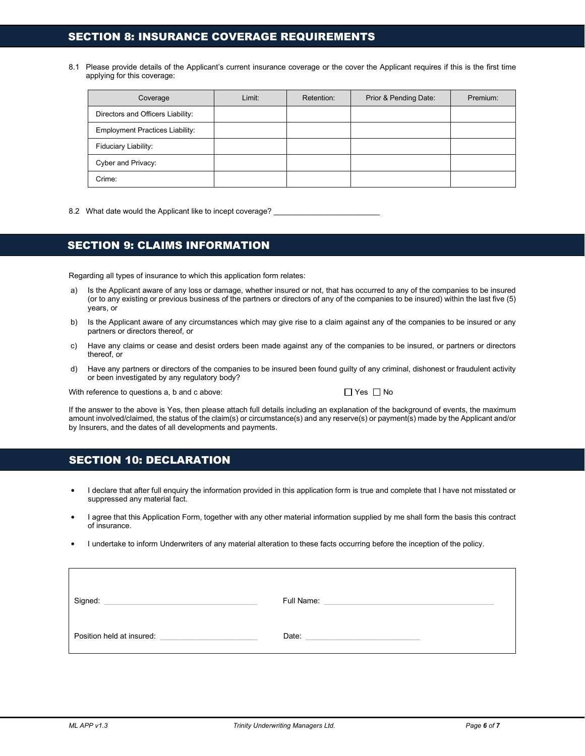### SECTION 8: INSURANCE COVERAGE REQUIREMENTS

8.1 Please provide details of the Applicant's current insurance coverage or the cover the Applicant requires if this is the first time applying for this coverage:

| Coverage                               | Limit: | Retention: | Prior & Pending Date: | Premium: |
|----------------------------------------|--------|------------|-----------------------|----------|
| Directors and Officers Liability:      |        |            |                       |          |
| <b>Employment Practices Liability:</b> |        |            |                       |          |
| Fiduciary Liability:                   |        |            |                       |          |
| Cyber and Privacy:                     |        |            |                       |          |
| Crime:                                 |        |            |                       |          |

8.2 What date would the Applicant like to incept coverage?

### SECTION 9: CLAIMS INFORMATION

Regarding all types of insurance to which this application form relates:

- a) Is the Applicant aware of any loss or damage, whether insured or not, that has occurred to any of the companies to be insured (or to any existing or previous business of the partners or directors of any of the companies to be insured) within the last five (5) years, or
- b) Is the Applicant aware of any circumstances which may give rise to a claim against any of the companies to be insured or any partners or directors thereof, or
- c) Have any claims or cease and desist orders been made against any of the companies to be insured, or partners or directors thereof, or
- d) Have any partners or directors of the companies to be insured been found guilty of any criminal, dishonest or fraudulent activity or been investigated by any regulatory body?

With reference to questions a, b and c above:  $\Box$  Yes  $\Box$  No

If the answer to the above is Yes, then please attach full details including an explanation of the background of events, the maximum amount involved/claimed, the status of the claim(s) or circumstance(s) and any reserve(s) or payment(s) made by the Applicant and/or by Insurers, and the dates of all developments and payments.

### SECTION 10: DECLARATION

- I declare that after full enquiry the information provided in this application form is true and complete that I have not misstated or suppressed any material fact.
- I agree that this Application Form, together with any other material information supplied by me shall form the basis this contract of insurance.
- I undertake to inform Underwriters of any material alteration to these facts occurring before the inception of the policy.

| Full Name: |
|------------|
|            |
| Date:      |
|            |